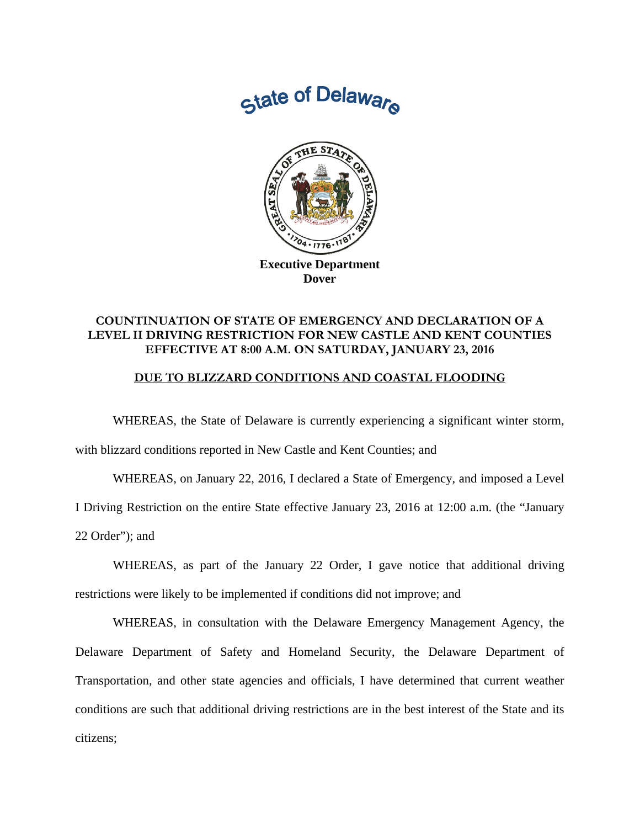



## **COUNTINUATION OF STATE OF EMERGENCY AND DECLARATION OF A LEVEL II DRIVING RESTRICTION FOR NEW CASTLE AND KENT COUNTIES EFFECTIVE AT 8:00 A.M. ON SATURDAY, JANUARY 23, 2016**

## **DUE TO BLIZZARD CONDITIONS AND COASTAL FLOODING**

 WHEREAS, the State of Delaware is currently experiencing a significant winter storm, with blizzard conditions reported in New Castle and Kent Counties; and

 WHEREAS, on January 22, 2016, I declared a State of Emergency, and imposed a Level I Driving Restriction on the entire State effective January 23, 2016 at 12:00 a.m. (the "January 22 Order"); and

WHEREAS, as part of the January 22 Order, I gave notice that additional driving restrictions were likely to be implemented if conditions did not improve; and

WHEREAS, in consultation with the Delaware Emergency Management Agency, the Delaware Department of Safety and Homeland Security, the Delaware Department of Transportation, and other state agencies and officials, I have determined that current weather conditions are such that additional driving restrictions are in the best interest of the State and its citizens;